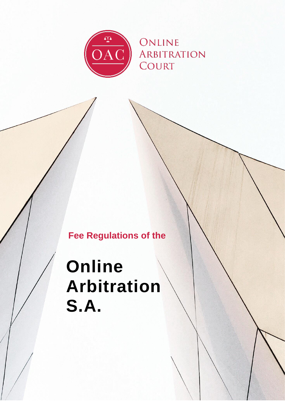

# **Fee Regulations of the**

# **Online Arbitration S.A.**

0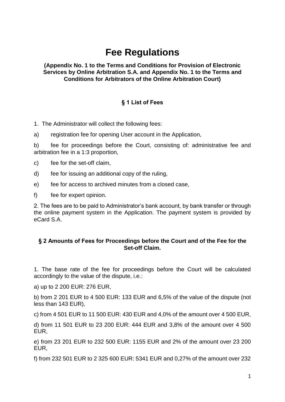# **Fee Regulations**

#### **(Appendix No. 1 to the Terms and Conditions for Provision of Electronic Services by Online Arbitration S.A. and Appendix No. 1 to the Terms and Conditions for Arbitrators of the Online Arbitration Court)**

## **§ 1 List of Fees**

1. The Administrator will collect the following fees:

a) registration fee for opening User account in the Application,

b) fee for proceedings before the Court, consisting of: administrative fee and arbitration fee in a 1:3 proportion,

c) fee for the set-off claim,

- d) fee for issuing an additional copy of the ruling,
- e) fee for access to archived minutes from a closed case,
- f) fee for expert opinion.

2. The fees are to be paid to Administrator's bank account, by bank transfer or through the online payment system in the Application. The payment system is provided by eCard S.A.

#### **§ 2 Amounts of Fees for Proceedings before the Court and of the Fee for the Set-off Claim.**

1. The base rate of the fee for proceedings before the Court will be calculated accordingly to the value of the dispute, i.e.:

a) up to 2 200 EUR: 276 EUR,

b) from 2 201 EUR to 4 500 EUR: 133 EUR and 6,5% of the value of the dispute (not less than 143 EUR),

c) from 4 501 EUR to 11 500 EUR: 430 EUR and 4,0% of the amount over 4 500 EUR,

d) from 11 501 EUR to 23 200 EUR: 444 EUR and 3,8% of the amount over 4 500 EUR,

e) from 23 201 EUR to 232 500 EUR: 1155 EUR and 2% of the amount over 23 200 EUR,

f) from 232 501 EUR to 2 325 600 EUR: 5341 EUR and 0,27% of the amount over 232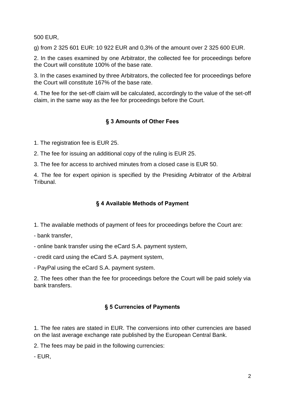500 EUR,

g) from 2 325 601 EUR: 10 922 EUR and 0,3% of the amount over 2 325 600 EUR.

2. In the cases examined by one Arbitrator, the collected fee for proceedings before the Court will constitute 100% of the base rate.

3. In the cases examined by three Arbitrators, the collected fee for proceedings before the Court will constitute 167% of the base rate.

4. The fee for the set-off claim will be calculated, accordingly to the value of the set-off claim, in the same way as the fee for proceedings before the Court.

## **§ 3 Amounts of Other Fees**

1. The registration fee is EUR 25.

2. The fee for issuing an additional copy of the ruling is EUR 25.

3. The fee for access to archived minutes from a closed case is EUR 50.

4. The fee for expert opinion is specified by the Presiding Arbitrator of the Arbitral Tribunal.

#### **§ 4 Available Methods of Payment**

- 1. The available methods of payment of fees for proceedings before the Court are:
- bank transfer,
- online bank transfer using the eCard S.A. payment system,
- credit card using the eCard S.A. payment system,

- PayPal using the eCard S.A. payment system.

2. The fees other than the fee for proceedings before the Court will be paid solely via bank transfers.

## **§ 5 Currencies of Payments**

1. The fee rates are stated in EUR. The conversions into other currencies are based on the last average exchange rate published by the European Central Bank.

2. The fees may be paid in the following currencies:

- EUR,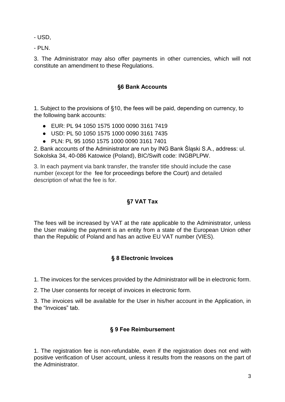- USD,

- PLN.

3. The Administrator may also offer payments in other currencies, which will not constitute an amendment to these Regulations.

#### **§6 Bank Accounts**

1. Subject to the provisions of §10, the fees will be paid, depending on currency, to the following bank accounts:

- EUR: PL 94 1050 1575 1000 0090 3161 7419
- USD: PL 50 1050 1575 1000 0090 3161 7435
- PLN: PL 95 1050 1575 1000 0090 3161 7401

2. Bank accounts of the Administrator are run by ING Bank Śląski S.A., address: ul. Sokolska 34, 40-086 Katowice (Poland), BIC/Swift code: INGBPLPW.

3. In each payment via bank transfer, the transfer title should include the case number (except for the fee for proceedings before the Court) and detailed description of what the fee is for.

# **§7 VAT Tax**

The fees will be increased by VAT at the rate applicable to the Administrator, unless the User making the payment is an entity from a state of the European Union other than the Republic of Poland and has an active EU VAT number (VIES).

## **§ 8 Electronic Invoices**

1. The invoices for the services provided by the Administrator will be in electronic form.

2. The User consents for receipt of invoices in electronic form.

3. The invoices will be available for the User in his/her account in the Application, in the "Invoices" tab.

#### **§ 9 Fee Reimbursement**

1. The registration fee is non-refundable, even if the registration does not end with positive verification of User account, unless it results from the reasons on the part of the Administrator.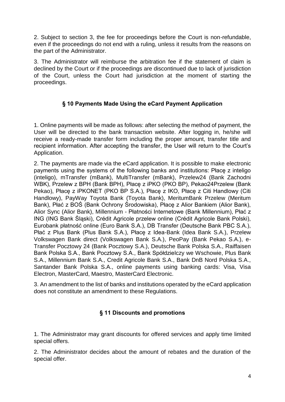2. Subject to section 3, the fee for proceedings before the Court is non-refundable, even if the proceedings do not end with a ruling, unless it results from the reasons on the part of the Administrator.

3. The Administrator will reimburse the arbitration fee if the statement of claim is declined by the Court or if the proceedings are discontinued due to lack of jurisdiction of the Court, unless the Court had jurisdiction at the moment of starting the proceedings.

## **§ 10 Payments Made Using the eCard Payment Application**

1. Online payments will be made as follows: after selecting the method of payment, the User will be directed to the bank transaction website. After logging in, he/she will receive a ready-made transfer form including the proper amount, transfer title and recipient information. After accepting the transfer, the User will return to the Court's Application.

2. The payments are made via the eCard application. It is possible to make electronic payments using the systems of the following banks and institutions: Płacę z inteligo (inteligo), mTransfer (mBank), MultiTransfer (mBank), Przelew24 (Bank Zachodni WBK), Przelew z BPH (Bank BPH), Płacę z iPKO (PKO BP), Pekao24Przelew (Bank Pekao), Płacę z iPKONET (PKO BP S.A.), Płacę z IKO, Płacę z Citi Handlowy (Citi Handlowy), PayWay Toyota Bank (Toyota Bank), MeritumBank Przelew (Meritum Bank), Płać z BOŚ (Bank Ochrony Środowiska), Płacę z Alior Bankiem (Alior Bank), Alior Sync (Alior Bank), Millennium - Płatności Internetowe (Bank Millennium), Płać z ING (ING Bank Śląski), Crédit Agricole przelew online (Crédit Agricole Bank Polski), Eurobank płatność online (Euro Bank S.A.), DB Transfer (Deutsche Bank PBC S.A.), Płać z Plus Bank (Plus Bank S.A.), Płacę z Idea-Bank (Idea Bank S.A.), Przelew Volkswagen Bank direct (Volkswagen Bank S.A.), PeoPay (Bank Pekao S.A.), e-Transfer Pocztowy 24 (Bank Pocztowy S.A.), Deutsche Bank Polska S.A., Raiffaisen Bank Polska S.A., Bank Pocztowy S.A., Bank Spółdzielczy we Wschowie, Plus Bank S.A., Millennium Bank S.A., Credit Agricole Bank S.A., Bank DnB Nord Polska S.A., Santander Bank Polska S.A., online payments using banking cards: Visa, Visa Electron, MasterCard, Maestro, MasterCard Electronic.

3. An amendment to the list of banks and institutions operated by the eCard application does not constitute an amendment to these Regulations.

## **§ 11 Discounts and promotions**

1. The Administrator may grant discounts for offered services and apply time limited special offers.

2. The Administrator decides about the amount of rebates and the duration of the special offer.